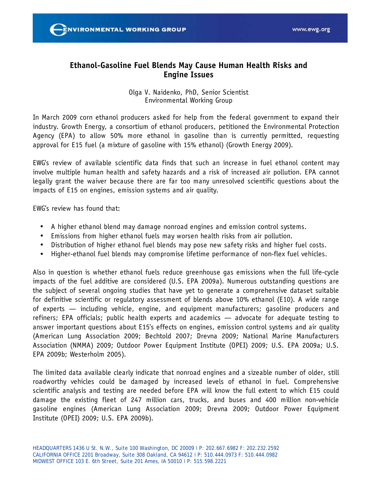

# **Ethanol-Gasoline Fuel Blends May Cause Human Health Risks and Engine Issues**

# Olga V. Naidenko, PhD, Senior Scientist Environmental Working Group

In March 2009 corn ethanol producers asked for help from the federal government to expand their industry. Growth Energy, a consortium of ethanol producers, petitioned the Environmental Protection Agency (EPA) to allow 50% more ethanol in gasoline than is currently permitted, requesting approval for E15 fuel (a mixture of gasoline with 15% ethanol) (Growth Energy 2009).

EWG's review of available scientific data finds that such an increase in fuel ethanol content may involve multiple human health and safety hazards and a risk of increased air pollution. EPA cannot legally grant the waiver because there are far too many unresolved scientific questions about the impacts of E15 on engines, emission systems and air quality.

EWG's review has found that:

- A higher ethanol blend may damage nonroad engines and emission control systems.
- Emissions from higher ethanol fuels may worsen health risks from air pollution.
- Distribution of higher ethanol fuel blends may pose new safety risks and higher fuel costs.
- Higher-ethanol fuel blends may compromise lifetime performance of non-flex fuel vehicles.

Also in question is whether ethanol fuels reduce greenhouse gas emissions when the full life-cycle impacts of the fuel additive are considered (U.S. EPA 2009a). Numerous outstanding questions are the subject of several ongoing studies that have yet to generate a comprehensive dataset suitable for definitive scientific or regulatory assessment of blends above 10% ethanol (E10). A wide range of experts — including vehicle, engine, and equipment manufacturers; gasoline producers and refiners; EPA officials; public health experts and academics — advocate for adequate testing to answer important questions about E15's effects on engines, emission control systems and air quality (American Lung Association 2009; Bechtold 2007; Drevna 2009; National Marine Manufacturers Association (NMMA) 2009; Outdoor Power Equipment Institute (OPEI) 2009; U.S. EPA 2009a; U.S. EPA 2009b; Westerholm 2005).

The limited data available clearly indicate that nonroad engines and a sizeable number of older, still roadworthy vehicles could be damaged by increased levels of ethanol in fuel. Comprehensive scientific analysis and testing are needed before EPA will know the full extent to which E15 could damage the existing fleet of 247 million cars, trucks, and buses and 400 million non-vehicle gasoline engines (American Lung Association 2009; Drevna 2009; Outdoor Power Equipment Institute (OPEI) 2009; U.S. EPA 2009b).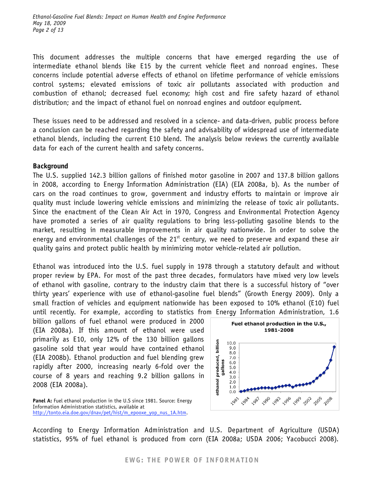This document addresses the multiple concerns that have emerged regarding the use of intermediate ethanol blends like E15 by the current vehicle fleet and nonroad engines. These concerns include potential adverse effects of ethanol on lifetime performance of vehicle emissions control systems; elevated emissions of toxic air pollutants associated with production and combustion of ethanol; decreased fuel economy; high cost and fire safety hazard of ethanol distribution; and the impact of ethanol fuel on nonroad engines and outdoor equipment.

These issues need to be addressed and resolved in a science- and data-driven, public process before a conclusion can be reached regarding the safety and advisability of widespread use of intermediate ethanol blends, including the current E10 blend. The analysis below reviews the currently available data for each of the current health and safety concerns.

### **Background**

The U.S. supplied 142.3 billion gallons of finished motor gasoline in 2007 and 137.8 billion gallons in 2008, according to Energy Information Administration (EIA) (EIA 2008a, b). As the number of cars on the road continues to grow, government and industry efforts to maintain or improve air quality must include lowering vehicle emissions and minimizing the release of toxic air pollutants. Since the enactment of the Clean Air Act in 1970, Congress and Environmental Protection Agency have promoted a series of air quality regulations to bring less-polluting gasoline blends to the market, resulting in measurable improvements in air quality nationwide. In order to solve the energy and environmental challenges of the  $21<sup>st</sup>$  century, we need to preserve and expand these air quality gains and protect public health by minimizing motor vehicle-related air pollution.

Ethanol was introduced into the U.S. fuel supply in 1978 through a statutory default and without proper review by EPA. For most of the past three decades, formulators have mixed very low levels of ethanol with gasoline, contrary to the industry claim that there is a successful history of "over thirty years' experience with use of ethanol-gasoline fuel blends" (Growth Energy 2009). Only a small fraction of vehicles and equipment nationwide has been exposed to 10% ethanol (E10) fuel until recently. For example, according to statistics from Energy Information Administration, 1.6

billion gallons of fuel ethanol were produced in 2000 (EIA 2008a). If this amount of ethanol were used primarily as E10, only 12% of the 130 billion gallons gasoline sold that year would have contained ethanol (EIA 2008b). Ethanol production and fuel blending grew rapidly after 2000, increasing nearly 6-fold over the course of 8 years and reaching 9.2 billion gallons in 2008 (EIA 2008a).

Panel A: Fuel ethanol production in the U.S since 1981. Source: Energy Information Administration statistics, available at http://tonto.eia.doe.gov/dnav/pet/hist/m\_epooxe\_yop\_nus\_1A.htm.



According to Energy Information Administration and U.S. Department of Agriculture (USDA) statistics, 95% of fuel ethanol is produced from corn (EIA 2008a; USDA 2006; Yacobucci 2008).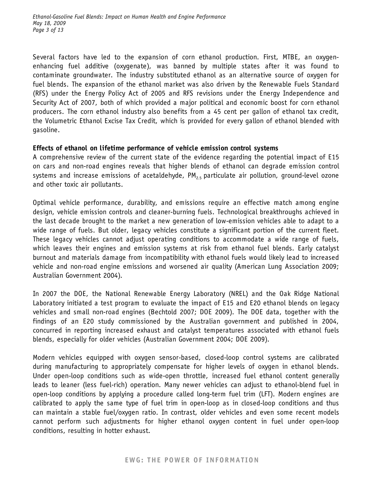Several factors have led to the expansion of corn ethanol production. First, MTBE, an oxygenenhancing fuel additive (oxygenate), was banned by multiple states after it was found to contaminate groundwater. The industry substituted ethanol as an alternative source of oxygen for fuel blends. The expansion of the ethanol market was also driven by the Renewable Fuels Standard (RFS) under the Energy Policy Act of 2005 and RFS revisions under the Energy Independence and Security Act of 2007, both of which provided a major political and economic boost for corn ethanol producers. The corn ethanol industry also benefits from a 45 cent per gallon of ethanol tax credit, the Volumetric Ethanol Excise Tax Credit, which is provided for every gallon of ethanol blended with gasoline.

# **Effects of ethanol on lifetime performance of vehicle emission control systems**

A comprehensive review of the current state of the evidence regarding the potential impact of E15 on cars and non-road engines reveals that higher blends of ethanol can degrade emission control systems and increase emissions of acetaldehyde,  $PM_{2.5}$  particulate air pollution, ground-level ozone and other toxic air pollutants.

Optimal vehicle performance, durability, and emissions require an effective match among engine design, vehicle emission controls and cleaner-burning fuels. Technological breakthroughs achieved in the last decade brought to the market a new generation of low-emission vehicles able to adapt to a wide range of fuels. But older, legacy vehicles constitute a significant portion of the current fleet. These legacy vehicles cannot adjust operating conditions to accommodate a wide range of fuels, which leaves their engines and emission systems at risk from ethanol fuel blends. Early catalyst burnout and materials damage from incompatibility with ethanol fuels would likely lead to increased vehicle and non-road engine emissions and worsened air quality (American Lung Association 2009; Australian Government 2004).

In 2007 the DOE, the National Renewable Energy Laboratory (NREL) and the Oak Ridge National Laboratory initiated a test program to evaluate the impact of E15 and E20 ethanol blends on legacy vehicles and small non-road engines (Bechtold 2007; DOE 2009). The DOE data, together with the findings of an E20 study commissioned by the Australian government and published in 2004, concurred in reporting increased exhaust and catalyst temperatures associated with ethanol fuels blends, especially for older vehicles (Australian Government 2004; DOE 2009).

Modern vehicles equipped with oxygen sensor-based, closed-loop control systems are calibrated during manufacturing to appropriately compensate for higher levels of oxygen in ethanol blends. Under open-loop conditions such as wide-open throttle, increased fuel ethanol content generally leads to leaner (less fuel-rich) operation. Many newer vehicles can adjust to ethanol-blend fuel in open-loop conditions by applying a procedure called long-term fuel trim (LFT). Modern engines are calibrated to apply the same type of fuel trim in open-loop as in closed-loop conditions and thus can maintain a stable fuel/oxygen ratio. In contrast, older vehicles and even some recent models cannot perform such adjustments for higher ethanol oxygen content in fuel under open-loop conditions, resulting in hotter exhaust.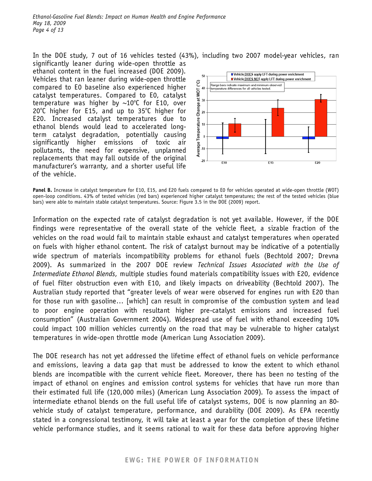In the DOE study, 7 out of 16 vehicles tested (43%), including two 2007 model-year vehicles, ran significantly leaner during wide-open throttle as ethanol content in the fuel increased (DOE 2009). Vehicles that ran leaner during wide-open throttle compared to E0 baseline also experienced higher catalyst temperatures. Compared to E0, catalyst temperature was higher by  $\sim 10^{\circ}$ C for E10, over  $20^{\circ}$ C higher for E15, and up to 35 $^{\circ}$ C higher for E20. Increased catalyst temperatures due to ethanol blends would lead to accelerated longterm catalyst degradation, potentially causing significantly higher emissions of toxic air pollutants, the need for expensive, unplanned replacements that may fall outside of the original manufacturer's warranty, and a shorter useful life of the vehicle.



**Panel B.** Increase in catalyst temperature for E10, E15, and E20 fuels compared to E0 for vehicles operated at wide-open throttle (WOT) open-loop conditions. 43% of tested vehicles (red bars) experienced higher catalyst temperatures; the rest of the tested vehicles (blue bars) were able to maintain stable catalyst temperatures. Source: Figure 3.5 in the DOE (2009) report.

Information on the expected rate of catalyst degradation is not yet available. However, if the DOE findings were representative of the overall state of the vehicle fleet, a sizable fraction of the vehicles on the road would fail to maintain stable exhaust and catalyst temperatures when operated on fuels with higher ethanol content. The risk of catalyst burnout may be indicative of a potentially wide spectrum of materials incompatibility problems for ethanol fuels (Bechtold 2007; Drevna 2009). As summarized in the 2007 DOE review *Technical Issues Associated with the Use of Intermediate Ethanol Blends*, multiple studies found materials compatibility issues with E20, evidence of fuel filter obstruction even with E10, and likely impacts on driveability (Bechtold 2007). The Australian study reported that "greater levels of wear were observed for engines run with E20 than for those run with gasoline… [which] can result in compromise of the combustion system and lead to poor engine operation with resultant higher pre-catalyst emissions and increased fuel consumption" (Australian Government 2004). Widespread use of fuel with ethanol exceeding 10% could impact 100 million vehicles currently on the road that may be vulnerable to higher catalyst temperatures in wide-open throttle mode (American Lung Association 2009).

The DOE research has not yet addressed the lifetime effect of ethanol fuels on vehicle performance and emissions, leaving a data gap that must be addressed to know the extent to which ethanol blends are incompatible with the current vehicle fleet. Moreover, there has been no testing of the impact of ethanol on engines and emission control systems for vehicles that have run more than their estimated full life (120,000 miles) (American Lung Association 2009). To assess the impact of intermediate ethanol blends on the full useful life of catalyst systems, DOE is now planning an 80 vehicle study of catalyst temperature, performance, and durability (DOE 2009). As EPA recently stated in a congressional testimony, it will take at least a year for the completion of these lifetime vehicle performance studies, and it seems rational to wait for these data before approving higher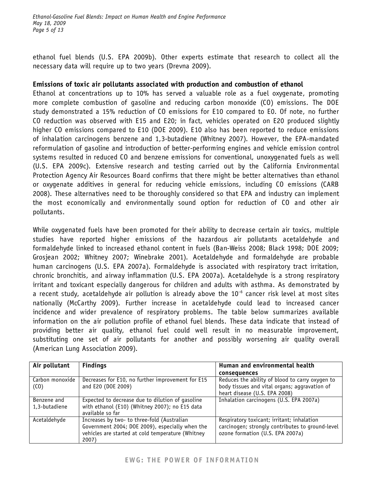ethanol fuel blends (U.S. EPA 2009b). Other experts estimate that research to collect all the necessary data will require up to two years (Drevna 2009).

### **Emissions of toxic air pollutants associated with production and combustion of ethanol**

Ethanol at concentrations up to 10% has served a valuable role as a fuel oxygenate, promoting more complete combustion of gasoline and reducing carbon monoxide (CO) emissions. The DOE study demonstrated a 15% reduction of CO emissions for E10 compared to E0. Of note, no further CO reduction was observed with E15 and E20; in fact, vehicles operated on E20 produced slightly higher CO emissions compared to E10 (DOE 2009). E10 also has been reported to reduce emissions of inhalation carcinogens benzene and 1,3-butadiene (Whitney 2007). However, the EPA-mandated reformulation of gasoline and introduction of better-performing engines and vehicle emission control systems resulted in reduced CO and benzene emissions for conventional, unoxygenated fuels as well (U.S. EPA 2009c). Extensive research and testing carried out by the California Environmental Protection Agency Air Resources Board confirms that there might be better alternatives than ethanol or oxygenate additives in general for reducing vehicle emissions, including CO emissions (CARB 2008). These alternatives need to be thoroughly considered so that EPA and industry can implement the most economically and environmentally sound option for reduction of CO and other air pollutants.

While oxygenated fuels have been promoted for their ability to decrease certain air toxics, multiple studies have reported higher emissions of the hazardous air pollutants acetaldehyde and formaldehyde linked to increased ethanol content in fuels (Ban-Weiss 2008; Black 1998; DOE 2009; Grosjean 2002; Whitney 2007; Winebrake 2001). Acetaldehyde and formaldehyde are probable human carcinogens (U.S. EPA 2007a). Formaldehyde is associated with respiratory tract irritation, chronic bronchitis, and airway inflammation (U.S. EPA 2007a). Acetaldehyde is a strong respiratory irritant and toxicant especially dangerous for children and adults with asthma. As demonstrated by a recent study, acetaldehyde air pollution is already above the  $10^{-6}$  cancer risk level at most sites nationally (McCarthy 2009). Further increase in acetaldehyde could lead to increased cancer incidence and wider prevalence of respiratory problems. The table below summarizes available information on the air pollution profile of ethanol fuel blends. These data indicate that instead of providing better air quality, ethanol fuel could well result in no measurable improvement, substituting one set of air pollutants for another and possibly worsening air quality overall (American Lung Association 2009).

| Air pollutant                        | <b>Findings</b>                                                                                                                                              | Human and environmental health                                                                                                     |
|--------------------------------------|--------------------------------------------------------------------------------------------------------------------------------------------------------------|------------------------------------------------------------------------------------------------------------------------------------|
|                                      |                                                                                                                                                              | consequences                                                                                                                       |
| Carbon monoxide<br>(C <sub>0</sub> ) | Decreases for E10, no further improvement for E15<br>and E20 (DOE 2009)                                                                                      | Reduces the ability of blood to carry oxygen to<br>body tissues and vital organs; aggravation of<br>heart disease (U.S. EPA 2008)  |
| Benzene and<br>1,3-butadiene         | Expected to decrease due to dilution of gasoline<br>with ethanol (E10) (Whitney 2007); no E15 data<br>available so far                                       | Inhalation carcinogens (U.S. EPA 2007a)                                                                                            |
| Acetaldehyde                         | Increases by two- to three-fold (Australian<br>Government 2004; DOE 2009), especially when the<br>vehicles are started at cold temperature (Whitney<br>2007) | Respiratory toxicant; irritant; inhalation<br>carcinogen; strongly contributes to ground-level<br>ozone formation (U.S. EPA 2007a) |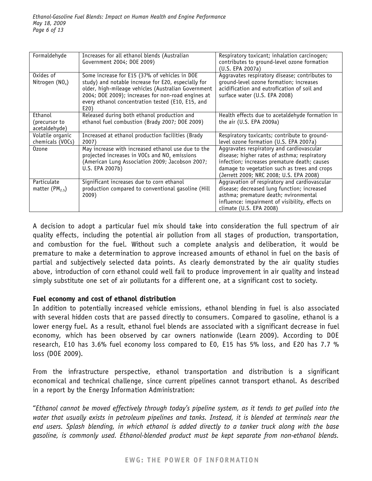| Formaldehyde                                 | Increases for all ethanol blends (Australian<br>Government 2004; DOE 2009)                                                                                                                                                                                                     | Respiratory toxicant; inhalation carcinogen;<br>contributes to ground-level ozone formation<br>(U.S. EPA 2007a)                                                                                                                      |
|----------------------------------------------|--------------------------------------------------------------------------------------------------------------------------------------------------------------------------------------------------------------------------------------------------------------------------------|--------------------------------------------------------------------------------------------------------------------------------------------------------------------------------------------------------------------------------------|
| $\overline{0}$ xides of<br>Nitrogen $(NO_x)$ | Some increase for E15 (37% of vehicles in DOE<br>study) and notable increase for E20, especially for<br>older, high-mileage vehicles (Australian Government<br>2004; DOE 2009); increases for non-road engines at<br>every ethanol concentration tested (E10, E15, and<br>E20) | Aggravates respiratory disease; contributes to<br>ground-level ozone formation; increases<br>acidification and eutrofication of soil and<br>surface water (U.S. EPA 2008)                                                            |
| Ethanol<br>(precursor to<br>acetaldehyde)    | Released during both ethanol production and<br>ethanol fuel combustion (Brady 2007; DOE 2009)                                                                                                                                                                                  | Health effects due to acetaldehyde formation in<br>the air (U.S. EPA 2009a)                                                                                                                                                          |
| Volatile organic<br>chemicals (VOCs)         | Increased at ethanol production facilities (Brady<br>2007)                                                                                                                                                                                                                     | Respiratory toxicants; contribute to ground-<br>level ozone formation (U.S. EPA 2007a)                                                                                                                                               |
| 0zone                                        | May increase with increased ethanol use due to the<br>projected increases in VOCs and NO <sub>x</sub> emissions<br>(American Lung Association 2009; Jacobson 2007;<br>U.S. EPA 2007b)                                                                                          | Aggravates respiratory and cardiovascular<br>disease; higher rates of asthma; respiratory<br>infection; increases premature death; causes<br>damage to vegetation such as trees and crops<br>(Jerrett 2009; NRC 2008; U.S. EPA 2008) |
| Particulate<br>matter (PM <sub>2.5</sub> )   | Significant increases due to corn ethanol<br>production compared to conventional gasoline (Hill<br>2009)                                                                                                                                                                       | Aggravation of respiratory and cardiovascular<br>disease; decreased lung function; increased<br>asthma; premature death; nvironmental<br>influence: impairment of visibility, effects on<br>climate (U.S. EPA 2008)                  |

A decision to adopt a particular fuel mix should take into consideration the full spectrum of air quality effects, including the potential air pollution from all stages of production, transportation, and combustion for the fuel. Without such a complete analysis and deliberation, it would be premature to make a determination to approve increased amounts of ethanol in fuel on the basis of partial and subjectively selected data points. As clearly demonstrated by the air quality studies above, introduction of corn ethanol could well fail to produce improvement in air quality and instead simply substitute one set of air pollutants for a different one, at a significant cost to society.

### **Fuel economy and cost of ethanol distribution**

In addition to potentially increased vehicle emissions, ethanol blending in fuel is also associated with several hidden costs that are passed directly to consumers. Compared to gasoline, ethanol is a lower energy fuel. As a result, ethanol fuel blends are associated with a significant decrease in fuel economy, which has been observed by car owners nationwide (Learn 2009). According to DOE research, E10 has 3.6% fuel economy loss compared to E0, E15 has 5% loss, and E20 has 7.7 % loss (DOE 2009).

From the infrastructure perspective, ethanol transportation and distribution is a significant economical and technical challenge, since current pipelines cannot transport ethanol. As described in a report by the Energy Information Administration:

"*Ethanol cannot be moved effectively through today's pipeline system, as it tends to get pulled into the water that usually exists in petroleum pipelines and tanks. Instead, it is blended at terminals near the end users. Splash blending, in which ethanol is added directly to a tanker truck along with the base gasoline, is commonly used. Ethanol-blended product must be kept separate from non-ethanol blends.*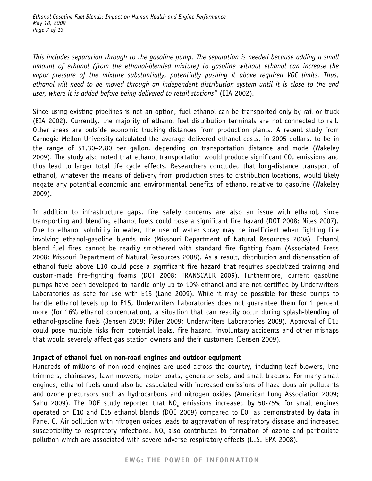*This includes separation through to the gasoline pump. The separation is needed because adding a small amount of ethanol (from the ethanol-blended mixture) to gasoline without ethanol can increase the vapor pressure of the mixture substantially, potentially pushing it above required VOC limits. Thus, ethanol will need to be moved through an independent distribution system until it is close to the end user, where it is added before being delivered to retail stations"* (EIA 2002).

Since using existing pipelines is not an option, fuel ethanol can be transported only by rail or truck (EIA 2002). Currently, the majority of ethanol fuel distribution terminals are not connected to rail. Other areas are outside economic trucking distances from production plants. A recent study from Carnegie Mellon University calculated the average delivered ethanol costs, in 2005 dollars, to be in the range of \$1.30−2.80 per gallon, depending on transportation distance and mode (Wakeley 2009). The study also noted that ethanol transportation would produce significant  $CO<sub>2</sub>$  emissions and thus lead to larger total life cycle effects. Researchers concluded that long-distance transport of ethanol, whatever the means of delivery from production sites to distribution locations, would likely negate any potential economic and environmental benefits of ethanol relative to gasoline (Wakeley 2009).

In addition to infrastructure gaps, fire safety concerns are also an issue with ethanol, since transporting and blending ethanol fuels could pose a significant fire hazard (DOT 2008; Niles 2007). Due to ethanol solubility in water, the use of water spray may be inefficient when fighting fire involving ethanol-gasoline blends mix (Missouri Department of Natural Resources 2008). Ethanol blend fuel fires cannot be readily smothered with standard fire fighting foam (Associated Press 2008; Missouri Department of Natural Resources 2008). As a result, distribution and dispensation of ethanol fuels above E10 could pose a significant fire hazard that requires specialized training and custom-made fire-fighting foams (DOT 2008; TRANSCAER 2009). Furthermore, current gasoline pumps have been developed to handle only up to 10% ethanol and are not certified by Underwriters Laboratories as safe for use with E15 (Lane 2009). While it may be possible for these pumps to handle ethanol levels up to E15, Underwriters Laboratories does not guarantee them for 1 percent more (for 16% ethanol concentration), a situation that can readily occur during splash-blending of ethanol-gasoline fuels (Jensen 2009; Piller 2009; Underwriters Laboratories 2009). Approval of E15 could pose multiple risks from potential leaks, fire hazard, involuntary accidents and other mishaps that would severely affect gas station owners and their customers (Jensen 2009).

# **Impact of ethanol fuel on non-road engines and outdoor equipment**

Hundreds of millions of non-road engines are used across the country, including leaf blowers, line trimmers, chainsaws, lawn mowers, motor boats, generator sets, and small tractors. For many small engines, ethanol fuels could also be associated with increased emissions of hazardous air pollutants and ozone precursors such as hydrocarbons and nitrogen oxides (American Lung Association 2009; Sahu 2009). The DOE study reported that  $NO<sub>x</sub>$  emissions increased by 50-75% for small engines operated on E10 and E15 ethanol blends (DOE 2009) compared to E0, as demonstrated by data in Panel C. Air pollution with nitrogen oxides leads to aggravation of respiratory disease and increased susceptibility to respiratory infections. NO<sub>x</sub> also contributes to formation of ozone and particulate pollution which are associated with severe adverse respiratory effects (U.S. EPA 2008).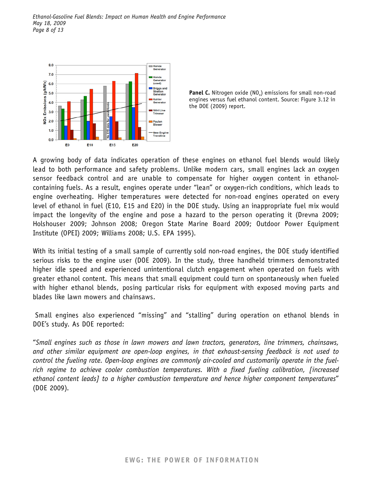

**Panel C.** Nitrogen oxide (NO<sub>v</sub>) emissions for small non-road engines versus fuel ethanol content. Source: Figure 3.12 in the DOE (2009) report.

A growing body of data indicates operation of these engines on ethanol fuel blends would likely lead to both performance and safety problems. Unlike modern cars, small engines lack an oxygen sensor feedback control and are unable to compensate for higher oxygen content in ethanolcontaining fuels. As a result, engines operate under "lean" or oxygen-rich conditions, which leads to engine overheating. Higher temperatures were detected for non-road engines operated on every level of ethanol in fuel (E10, E15 and E20) in the DOE study. Using an inappropriate fuel mix would impact the longevity of the engine and pose a hazard to the person operating it (Drevna 2009; Holshouser 2009; Johnson 2008; Oregon State Marine Board 2009; Outdoor Power Equipment Institute (OPEI) 2009; Williams 2008; U.S. EPA 1995).

With its initial testing of a small sample of currently sold non-road engines, the DOE study identified serious risks to the engine user (DOE 2009). In the study, three handheld trimmers demonstrated higher idle speed and experienced unintentional clutch engagement when operated on fuels with greater ethanol content. This means that small equipment could turn on spontaneously when fueled with higher ethanol blends, posing particular risks for equipment with exposed moving parts and blades like lawn mowers and chainsaws.

 Small engines also experienced "missing" and "stalling" during operation on ethanol blends in DOE's study. As DOE reported:

"*Small engines such as those in lawn mowers and lawn tractors, generators, line trimmers, chainsaws, and other similar equipment are open-loop engines, in that exhaust-sensing feedback is not used to control the fueling rate. Open-loop engines are commonly air-cooled and customarily operate in the fuelrich regime to achieve cooler combustion temperatures. With a fixed fueling calibration, [increased ethanol content leads] to a higher combustion temperature and hence higher component temperatures*" (DOE 2009).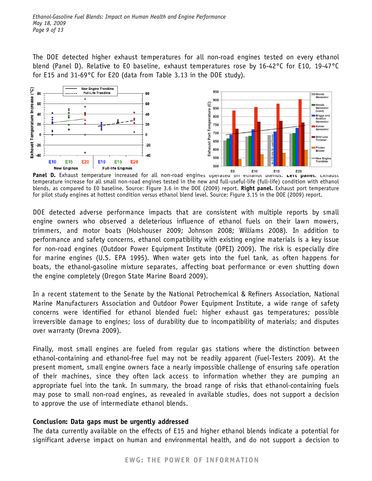The DOE detected higher exhaust temperatures for all non-road engines tested on every ethanol blend (Panel D). Relative to E0 baseline, exhaust temperatures rose by 16-42°C for E10, 19-47°C for E15 and 31-69°C for E20 (data from Table 3.13 in the DOE study).



**Panel D.** Exhaust temperature increased for all non-road engines operated on ethanol blends. **Left panel.** Exhaust temperature increase for all small non-road engines tested in the new and full-useful-life (full-life) condition with ethanol blends, as compared to E0 baseline. Source: Figure 3.6 in the DOE (2009) report. **Right panel.** Exhaust port temperature for pilot study engines at hottest condition versus ethanol blend level. Source: Figure 3.15 in the DOE (2009) report.

DOE detected adverse performance impacts that are consistent with multiple reports by small engine owners who observed a deleterious influence of ethanol fuels on their lawn mowers, trimmers, and motor boats (Holshouser 2009; Johnson 2008; Williams 2008). In addition to performance and safety concerns, ethanol compatibility with existing engine materials is a key issue for non-road engines (Outdoor Power Equipment Institute (OPEI) 2009). The risk is especially dire for marine engines (U.S. EPA 1995). When water gets into the fuel tank, as often happens for boats, the ethanol-gasoline mixture separates, affecting boat performance or even shutting down the engine completely (Oregon State Marine Board 2009).

In a recent statement to the Senate by the National Petrochemical & Refiners Association, National Marine Manufacturers Association and Outdoor Power Equipment Institute, a wide range of safety concerns were identified for ethanol blended fuel: higher exhaust gas temperatures; possible irreversible damage to engines; loss of durability due to incompatibility of materials; and disputes over warranty (Drevna 2009).

Finally, most small engines are fueled from regular gas stations where the distinction between ethanol-containing and ethanol-free fuel may not be readily apparent (Fuel-Testers 2009). At the present moment, small engine owners face a nearly impossible challenge of ensuring safe operation of their machines, since they often lack access to information whether they are pumping an appropriate fuel into the tank. In summary, the broad range of risks that ethanol-containing fuels may pose to small non-road engines, as revealed in available studies, does not support a decision to approve the use of intermediate ethanol blends.

### **Conclusion: Data gaps must be urgently addressed**

The data currently available on the effects of E15 and higher ethanol blends indicate a potential for significant adverse impact on human and environmental health, and do not support a decision to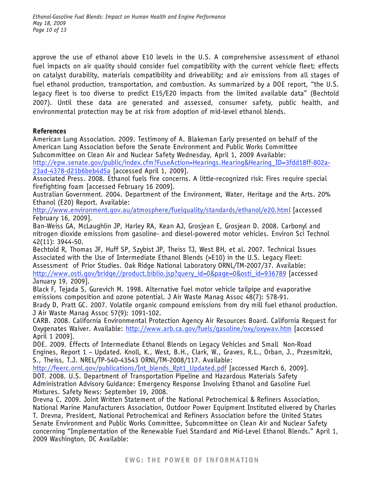approve the use of ethanol above E10 levels in the U.S. A comprehensive assessment of ethanol fuel impacts on air quality should consider fuel compatibility with the current vehicle fleet; effects on catalyst durability, materials compatibility and driveability; and air emissions from all stages of fuel ethanol production, transportation, and combustion. As summarized by a DOE report, "the U.S. legacy fleet is too diverse to predict E15/E20 impacts from the limited available data" (Bechtold 2007). Until these data are generated and assessed, consumer safety, public health, and environmental protection may be at risk from adoption of mid-level ethanol blends.

### **References**

American Lung Association. 2009. Testimony of A. Blakeman Early presented on behalf of the American Lung Association before the Senate Environment and Public Works Committee Subcommittee on Clean Air and Nuclear Safety Wednesday, April 1, 2009 Available: http://epw.senate.gov/public/index.cfm?FuseAction=Hearings.Hearing&Hearing\_ID=3fdd18ff-802a-23ad-4378-d21b6beb4d5a [accessed April 1, 2009].

Associated Press. 2008. Ethanol fuels fire concerns. A little-recognized risk: Fires require special firefighting foam [accessed February 16 2009].

Australian Government. 2004. Department of the Environment, Water, Heritage and the Arts. 20% Ethanol (E20) Report. Available:

http://www.environment.gov.au/atmosphere/fuelquality/standards/ethanol/e20.html [accessed February 16, 2009].

Ban-Weiss GA, McLaughlin JP, Harley RA, Kean AJ, Grosjean E, Grosjean D. 2008. Carbonyl and nitrogen dioxide emissions from gasoline- and diesel-powered motor vehicles. Environ Sci Technol 42(11): 3944-50.

Bechtold R, Thomas JF, Huff SP, Szybist JP, Theiss TJ, West BH, et al. 2007. Technical Issues Associated with the Use of Intermediate Ethanol Blends (>E10) in the U.S. Legacy Fleet: Assessment of Prior Studies. Oak Ridge National Laboratory ORNL/TM-2007/37. Available: http://www.osti.gov/bridge//product.biblio.jsp?query\_id=0&page=0&osti\_id=936789 [accessed January 19, 2009].

Black F, Tejada S, Gurevich M. 1998. Alternative fuel motor vehicle tailpipe and evaporative emissions composition and ozone potential. J Air Waste Manag Assoc 48(7): 578-91.

Brady D, Pratt GC. 2007. Volatile organic compound emissions from dry mill fuel ethanol production. J Air Waste Manag Assoc 57(9): 1091-102.

CARB. 2008. California Environmental Protection Agency Air Resources Board. California Request for Oxygenates Waiver. Available: http://www.arb.ca.gov/fuels/gasoline/oxy/oxywav.htm [accessed April 1 2009].

DOE. 2009. Effects of Intermediate Ethanol Blends on Legacy Vehicles and Small Non-Road Engines, Report 1 – Updated. Knoll, K., West, B.H., Clark, W., Graves, R.L., Orban, J., Przesmitzki, S., Theiss, T.J. NREL/TP-540-43543 ORNL/TM-2008/117. Available:

http://feerc.ornl.gov/publications/Int\_blends\_Rpt1\_Updated.pdf [accessed March 6, 2009].

DOT. 2008. U.S. Department of Transportation Pipeline and Hazardous Materials Safety Administration Advisory Guidance: Emergency Response Involving Ethanol and Gasoline Fuel Mixtures. Safety News: September 19, 2008.

Drevna C. 2009. Joint Written Statement of the National Petrochemical & Refiners Association, National Marine Manufacturers Association, Outdoor Power Equipment Instituted elivered by Charles T. Drevna, President, National Petrochemical and Refiners Association before the United States Senate Environment and Public Works Committee, Subcommittee on Clean Air and Nuclear Safety concerning "Implementation of the Renewable Fuel Standard and Mid-Level Ethanol Blends." April 1, 2009 Washington, DC Available: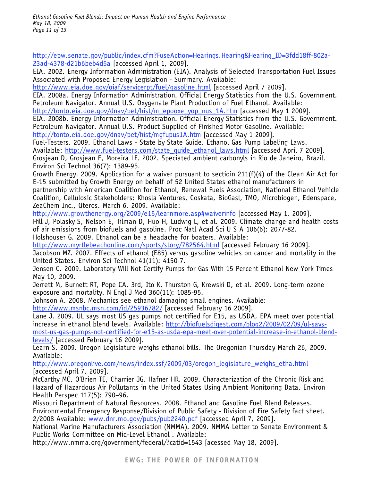*Ethanol-Gasoline Fuel Blends: Impact on Human Health and Engine Performance May 18, 2009 Page 11 of 13* 

http://epw.senate.gov/public/index.cfm?FuseAction=Hearings.Hearing&Hearing\_ID=3fdd18ff-802a-23ad-4378-d21b6beb4d5a [accessed April 1, 2009].

EIA. 2002. Energy Information Administration (EIA). Analysis of Selected Transportation Fuel Issues Associated with Proposed Energy Legislation - Summary. Available:

http://www.eia.doe.gov/oiaf/servicerpt/fuel/gasoline.html [accessed April 7 2009].

EIA. 2008a. Energy Information Administration. Official Energy Statistics from the U.S. Government. Petroleum Navigator. Annual U.S. Oxygenate Plant Production of Fuel Ethanol. Available:

http://tonto.eia.doe.gov/dnav/pet/hist/m\_epooxe\_yop\_nus\_1A.htm [accessed May 1 2009].

EIA. 2008b. Energy Information Administration. Official Energy Statistics from the U.S. Government. Petroleum Navigator. Annual U.S. Product Supplied of Finished Motor Gasoline. Available:

http://tonto.eia.doe.gov/dnav/pet/hist/mgfupus1A.htm [accessed May 1 2009].

Fuel-Testers. 2009. Ethanol Laws - State by State Guide. Ethanol Gas Pump Labeling Laws. Available: http://www.fuel-testers.com/state\_guide\_ethanol\_laws.html [accessed April 7 2009]. Grosjean D, Grosjean E, Moreira LF. 2002. Speciated ambient carbonyls in Rio de Janeiro, Brazil. Environ Sci Technol 36(7): 1389-95.

Growth Energy. 2009. Application for a waiver pursuant to sectioin 211(f)(4) of the Clean Air Act for E-15 submitted by Growth Energy on behalf of 52 United States ethanol manufacturers in partnership with American Coalition for Ethanol, Renewal Fuels Association, National Ethanol Vehicle Coalition, Cellulosic Stakeholders: Khosla Ventures, Coskata, BioGasl, TMO, Microbiogen, Edenspace, ZeaChem Inc., Qteros. March 6, 2009. Available:

http://www.growthenergy.org/2009/e15/learnmore.asp#waiverinfo [accessed May 1, 2009]. Hill J, Polasky S, Nelson E, Tilman D, Huo H, Ludwig L, et al. 2009. Climate change and health costs of air emissions from biofuels and gasoline. Proc Natl Acad Sci U S A 106(6): 2077-82. Holshouser G. 2009. Ethanol can be a headache for boaters. Available:

http://www.myrtlebeachonline.com/sports/story/782564.html [accessed February 16 2009].

Jacobson MZ. 2007. Effects of ethanol (E85) versus gasoline vehicles on cancer and mortality in the United States. Environ Sci Technol 41(11): 4150-7.

Jensen C. 2009. Laboratory Will Not Certify Pumps for Gas With 15 Percent Ethanol New York Times May 10, 2009.

Jerrett M, Burnett RT, Pope CA, 3rd, Ito K, Thurston G, Krewski D, et al. 2009. Long-term ozone exposure and mortality. N Engl J Med 360(11): 1085-95.

Johnson A. 2008. Mechanics see ethanol damaging small engines. Available:

http://www.msnbc.msn.com/id/25936782/ [accessed February 16 2009].

Lane J. 2009. UL says most US gas pumps not certified for E15, as USDA, EPA meet over potential increase in ethanol blend levels. Available: http://biofuelsdigest.com/blog2/2009/02/09/ul-saysmost-us-gas-pumps-not-certified-for-e15-as-usda-epa-meet-over-potential-increase-in-ethanol-blendlevels/ [accessed February 16 2009].

Learn S. 2009. Oregon Legislature weighs ethanol bills. The Oregonian Thursday March 26, 2009. Available:

http://www.oregonlive.com/news/index.ssf/2009/03/oregon\_legislature\_weighs\_etha.html [accessed April 7, 2009].

McCarthy MC, O'Brien TE, Charrier JG, Hafner HR. 2009. Characterization of the Chronic Risk and Hazard of Hazardous Air Pollutants in the United States Using Ambient Monitoring Data. Environ Health Perspec 117(5): 790–96.

Missouri Department of Natural Resources. 2008. Ethanol and Gasoline Fuel Blend Releases. Environmental Emergency Response/Division of Public Safety - Division of Fire Safety fact sheet. 2/2008 Available: www.dnr.mo.gov/pubs/pub2240.pdf [accessed April 7, 2009].

National Marine Manufacturers Association (NMMA). 2009. NMMA Letter to Senate Environment & Public Works Committee on Mid-Level Ethanol . Available:

http://www.nmma.org/government/federal/?catid=1543 [acessed May 18, 2009].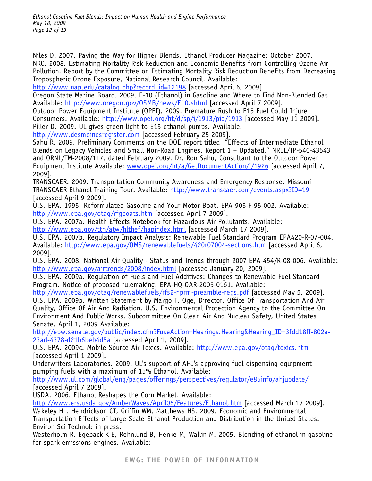*Ethanol-Gasoline Fuel Blends: Impact on Human Health and Engine Performance May 18, 2009 Page 12 of 13* 

Niles D. 2007. Paving the Way for Higher Blends. Ethanol Producer Magazine: October 2007. NRC. 2008. Estimating Mortality Risk Reduction and Economic Benefits from Controlling Ozone Air Pollution. Report by the Committee on Estimating Mortality Risk Reduction Benefits from Decreasing Tropospheric Ozone Exposure, National Research Council. Available:

http://www.nap.edu/catalog.php?record\_id=12198 [accessed April 6, 2009].

Oregon State Marine Board. 2009. E-10 (Ethanol) in Gasoline and Where to Find Non-Blended Gas. Available: http://www.oregon.gov/0SMB/news/E10.shtml [accessed April 7 2009].

Outdoor Power Equipment Institute (OPEI). 2009. Premature Rush to E15 Fuel Could Injure Consumers. Available: http://www.opei.org/ht/d/sp/i/1913/pid/1913 [accessed May 11 2009].

Piller D. 2009. UL gives green light to E15 ethanol pumps. Available:

http://www.desmoinesregister.com [accessed February 25 2009].

Sahu R. 2009. Preliminary Comments on the DOE report titled "Effects of Intermediate Ethanol Blends on Legacy Vehicles and Small Non-Road Engines, Report 1 – Updated," NREL/TP-540-43543 and ORNL/TM-2008/117, dated February 2009. Dr. Ron Sahu, Consultant to the Outdoor Power Equipment Institute Available: www.opei.org/ht/a/GetDocumentAction/i/1926 [accessed April 7, 2009].

TRANSCAER. 2009. Transportation Community Awareness and Emergency Response. Missouri TRANSCAER Ethanol Training Tour. Available: http://www.transcaer.com/events.aspx?ID=19 [accessed April 9 2009].

U.S. EPA. 1995. Reformulated Gasoline and Your Motor Boat. EPA 905-F-95-002. Available: http://www.epa.gov/otaq/rfgboats.htm [accessed April 7 2009].

U.S. EPA. 2007a. Health Effects Notebook for Hazardous Air Pollutants. Available: http://www.epa.gov/ttn/atw/hlthef/hapindex.html [accessed March 17 2009].

U.S. EPA. 2007b. Regulatory Impact Analysis: Renewable Fuel Standard Program EPA420-R-07-004. Available: http://www.epa.gov/OMS/renewablefuels/420r07004-sections.htm [accessed April 6, 2009].

U.S. EPA. 2008. National Air Quality - Status and Trends through 2007 EPA-454/R-08-006. Available: http://www.epa.gov/airtrends/2008/index.html [accessed January 20, 2009].

U.S. EPA. 2009a. Regulation of Fuels and Fuel Additives: Changes to Renewable Fuel Standard Program. Notice of proposed rulemaking. EPA-HQ-OAR-2005-0161. Available:

http://www.epa.gov/otaq/renewablefuels/rfs2-nprm-preamble-regs.pdf [accessed May 5, 2009].

U.S. EPA. 2009b. Written Statement by Margo T. Oge, Director, Office Of Transportation And Air Quality, Office Of Air And Radiation, U.S. Environmental Protection Agency to the Committee On Environment And Public Works, Subcommittee On Clean Air And Nuclear Safety, United States Senate. April 1, 2009 Available:

http://epw.senate.gov/public/index.cfm?FuseAction=Hearings.Hearing&Hearing\_ID=3fdd18ff-802a-23ad-4378-d21b6beb4d5a [accessed April 1, 2009].

U.S. EPA. 2009c. Mobile Source Air Toxics. Available: http://www.epa.gov/otaq/toxics.htm [accessed April 1 2009].

Underwriters Laboratories. 2009. UL's support of AHJ's approving fuel dispensing equipment pumping fuels with a maximum of 15% Ethanol. Available:

http://www.ul.com/global/eng/pages/offerings/perspectives/regulator/e85info/ahjupdate/ [accessed April 7 2009].

USDA. 2006. Ethanol Reshapes the Corn Market. Available:

http://www.ers.usda.gov/AmberWaves/April06/Features/Ethanol.htm [accessed March 17 2009].

Wakeley HL, Hendrickson CT, Griffin WM, Matthews HS. 2009. Economic and Environmental Transportation Effects of Large-Scale Ethanol Production and Distribution in the United States. Environ Sci Technol: in press.

Westerholm R, Egeback K-E, Rehnlund B, Henke M, Wallin M. 2005. Blending of ethanol in gasoline for spark emissions engines. Available: